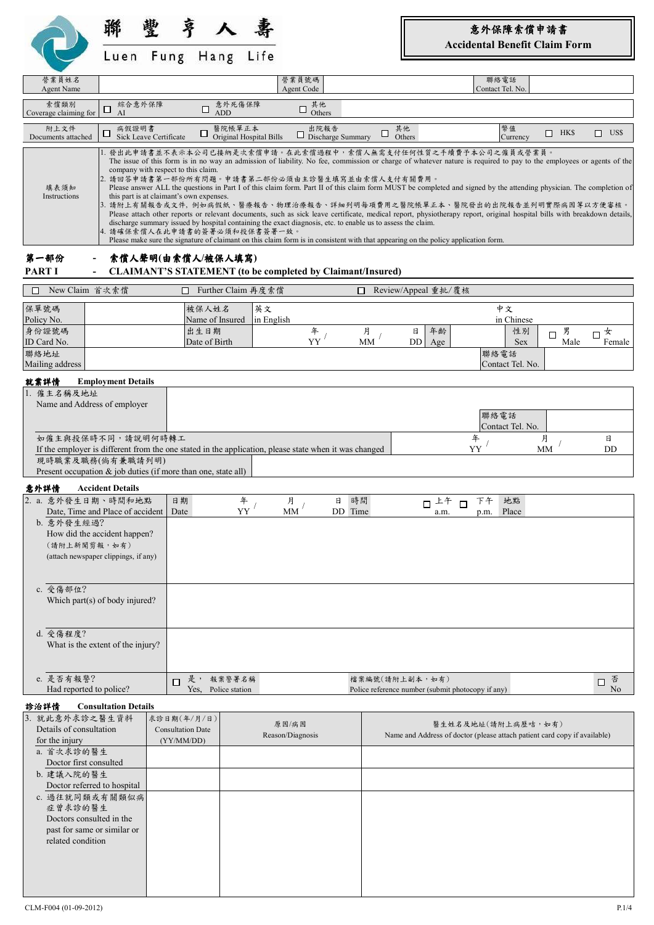

聯 豐 亨 夀 Fung Hang Life

 $\lambda$ 

意外保障索償申請書 **Accidental Benefit Claim Form**

|                                                                                                                                                                                                                                                                       |                             |                                                                                 | Luen rung mang Life                               |                         |                                                                                                                                                               |                |                                                                                                                                                                                                                                                                                                                                                                                                                                                                                                                                                                                                                                                                                                                                                                                                         |                      |                                                                  |                     |                       |
|-----------------------------------------------------------------------------------------------------------------------------------------------------------------------------------------------------------------------------------------------------------------------|-----------------------------|---------------------------------------------------------------------------------|---------------------------------------------------|-------------------------|---------------------------------------------------------------------------------------------------------------------------------------------------------------|----------------|---------------------------------------------------------------------------------------------------------------------------------------------------------------------------------------------------------------------------------------------------------------------------------------------------------------------------------------------------------------------------------------------------------------------------------------------------------------------------------------------------------------------------------------------------------------------------------------------------------------------------------------------------------------------------------------------------------------------------------------------------------------------------------------------------------|----------------------|------------------------------------------------------------------|---------------------|-----------------------|
| 營業員姓名<br><b>Agent Name</b>                                                                                                                                                                                                                                            |                             |                                                                                 |                                                   |                         | 營業員號碼<br>Agent Code                                                                                                                                           |                |                                                                                                                                                                                                                                                                                                                                                                                                                                                                                                                                                                                                                                                                                                                                                                                                         |                      | 聯絡電話<br>Contact Tel. No.                                         |                     |                       |
| 索償類別                                                                                                                                                                                                                                                                  | 綜合意外保障                      |                                                                                 | 意外死傷保障                                            |                         | 其他                                                                                                                                                            |                |                                                                                                                                                                                                                                                                                                                                                                                                                                                                                                                                                                                                                                                                                                                                                                                                         |                      |                                                                  |                     |                       |
| Coverage claiming for                                                                                                                                                                                                                                                 | □<br>AI                     |                                                                                 | □<br><b>ADD</b>                                   |                         | $\Box$<br>Others                                                                                                                                              |                |                                                                                                                                                                                                                                                                                                                                                                                                                                                                                                                                                                                                                                                                                                                                                                                                         |                      |                                                                  |                     |                       |
| 附上文件<br>Documents attached                                                                                                                                                                                                                                            | 病假證明書<br>Ц                  | <b>Sick Leave Certificate</b>                                                   | 醫院帳單正本<br>□                                       | Original Hospital Bills | 出院報告<br>$\Box$ Discharge Summary                                                                                                                              | □              | 其他<br>Others                                                                                                                                                                                                                                                                                                                                                                                                                                                                                                                                                                                                                                                                                                                                                                                            |                      | 幣值<br>Currency                                                   | $\Box$ HK\$         | $\Box$ US\$           |
| 填表須知<br>Instructions                                                                                                                                                                                                                                                  |                             | company with respect to this claim.<br>this part is at claimant's own expenses. | 4. 請確保索償人在此申請書的簽署必須和投保書簽署一致。                      |                         | 2. 請回答申請書第一部份所有問題。申請書第二部份必須由主診醫生填寫並由索償人支付有關費用。<br>discharge summary issued by hospital containing the exact diagnosis, etc. to enable us to assess the claim. |                | 發出此申請書並不表示本公司已接納是次索償申請。在此索償過程中,索償人無需支付任何性質之手續費予本公司之僱員或營業員。<br>The issue of this form is in no way an admission of liability. No fee, commission or charge of whatever nature is required to pay to the employees or agents of the<br>Please answer ALL the questions in Part I of this claim form. Part II of this claim form MUST be completed and signed by the attending physician. The completion of<br> 3. 請附上有關報告或文件, 例如病假紙、醫療報告、物理治療報告、詳細列明每項費用之醫院帳單正本、醫院發出的出院報告並列明實際病因等以方便審核。<br>Please attach other reports or relevant documents, such as sick leave certificate, medical report, physiotherapy report, original hospital bills with breakdown details,<br>Please make sure the signature of claimant on this claim form is in consistent with that appearing on the policy application form. |                      |                                                                  |                     |                       |
| 第一部份                                                                                                                                                                                                                                                                  |                             |                                                                                 | 索償人聲明(由索償人/被保人填寫)                                 |                         |                                                                                                                                                               |                |                                                                                                                                                                                                                                                                                                                                                                                                                                                                                                                                                                                                                                                                                                                                                                                                         |                      |                                                                  |                     |                       |
| PART I                                                                                                                                                                                                                                                                |                             |                                                                                 |                                                   |                         | <b>CLAIMANT'S STATEMENT (to be completed by Claimant/Insured)</b>                                                                                             |                |                                                                                                                                                                                                                                                                                                                                                                                                                                                                                                                                                                                                                                                                                                                                                                                                         |                      |                                                                  |                     |                       |
| New Claim 首次索償<br>П                                                                                                                                                                                                                                                   |                             | Π.                                                                              | Further Claim 再度索償                                |                         |                                                                                                                                                               | $\Box$         | Review/Appeal 重批/覆核                                                                                                                                                                                                                                                                                                                                                                                                                                                                                                                                                                                                                                                                                                                                                                                     |                      |                                                                  |                     |                       |
| 保單號碼<br>Policy No.<br>身份證號碼<br>ID Card No.<br>聯絡地址<br>Mailing address                                                                                                                                                                                                 |                             |                                                                                 | 被保人姓名<br>Name of Insured<br>出生日期<br>Date of Birth | 英文<br>in English        | 年<br>YY                                                                                                                                                       | 月<br><b>MM</b> | 年龄<br>日<br>DD<br>Age                                                                                                                                                                                                                                                                                                                                                                                                                                                                                                                                                                                                                                                                                                                                                                                    |                      | 中文<br>in Chinese<br>性別<br><b>Sex</b><br>聯絡電話<br>Contact Tel. No. | 男<br>$\Box$<br>Male | 女<br>$\Box$<br>Female |
| 就業詳情<br>1. 僱主名稱及地址<br>Name and Address of employer<br>如僱主與投保時不同,請說明何時轉工<br>If the employer is different from the one stated in the application, please state when it was changed<br>現時職業及職務(倘有兼職請列明)<br>Present occupation & job duties (if more than one, state all) | <b>Employment Details</b>   |                                                                                 |                                                   |                         |                                                                                                                                                               |                |                                                                                                                                                                                                                                                                                                                                                                                                                                                                                                                                                                                                                                                                                                                                                                                                         | 年<br>YY              | 聯絡電話<br>Contact Tel. No.                                         | 月<br>MM             | 日<br>DD               |
| 意外詳情                                                                                                                                                                                                                                                                  | <b>Accident Details</b>     |                                                                                 |                                                   |                         |                                                                                                                                                               |                |                                                                                                                                                                                                                                                                                                                                                                                                                                                                                                                                                                                                                                                                                                                                                                                                         |                      |                                                                  |                     |                       |
| 2. a. 意外發生日期、時間和地點<br>Date, Time and Place of accident<br>b. 意外發生經過?<br>How did the accident happen?<br>(請附上新聞剪報,如有)<br>(attach newspaper clippings, if any)                                                                                                          |                             | 日期<br>Date                                                                      |                                                   | 年<br>YY                 | 日<br>月<br><b>MM</b>                                                                                                                                           | 時間<br>DD Time  | 上午<br>$\Box$<br>a.m.                                                                                                                                                                                                                                                                                                                                                                                                                                                                                                                                                                                                                                                                                                                                                                                    | 下午<br>$\Box$<br>p.m. | 地點<br>Place                                                      |                     |                       |
| c. 受傷部位?<br>Which part(s) of body injured?<br>d. 受傷程度?                                                                                                                                                                                                                |                             |                                                                                 |                                                   |                         |                                                                                                                                                               |                |                                                                                                                                                                                                                                                                                                                                                                                                                                                                                                                                                                                                                                                                                                                                                                                                         |                      |                                                                  |                     |                       |
| What is the extent of the injury?<br>e. 是否有報警?                                                                                                                                                                                                                        |                             |                                                                                 | 是, 報案警署名稱                                         |                         |                                                                                                                                                               |                | 檔案編號(請附上副本,如有)                                                                                                                                                                                                                                                                                                                                                                                                                                                                                                                                                                                                                                                                                                                                                                                          |                      |                                                                  |                     |                       |
| Had reported to police?                                                                                                                                                                                                                                               |                             | Л                                                                               | Yes, Police station                               |                         |                                                                                                                                                               |                | Police reference number (submit photocopy if any)                                                                                                                                                                                                                                                                                                                                                                                                                                                                                                                                                                                                                                                                                                                                                       |                      |                                                                  |                     | 否<br>$\Box$<br>No     |
| 診治詳情                                                                                                                                                                                                                                                                  | <b>Consultation Details</b> |                                                                                 |                                                   |                         |                                                                                                                                                               |                |                                                                                                                                                                                                                                                                                                                                                                                                                                                                                                                                                                                                                                                                                                                                                                                                         |                      |                                                                  |                     |                       |
| 3. 就此意外求診之醫生資料<br>Details of consultation<br>for the injury                                                                                                                                                                                                           |                             | 求診日期(年/月/日)<br><b>Consultation Date</b><br>(YY/MM/DD)                           |                                                   |                         | 原因/病因<br>Reason/Diagnosis                                                                                                                                     |                | Name and Address of doctor (please attach patient card copy if available)                                                                                                                                                                                                                                                                                                                                                                                                                                                                                                                                                                                                                                                                                                                               | 醫生姓名及地址(請附上病歷咭,如有)   |                                                                  |                     |                       |

a. 首次求診的醫生 Doctor first consulted b. 建議入院的醫生

Doctor referred to hospital c. 過往就同類或有關類似病 症曾求診的醫生 Doctors consulted in the past for same or similar or related condition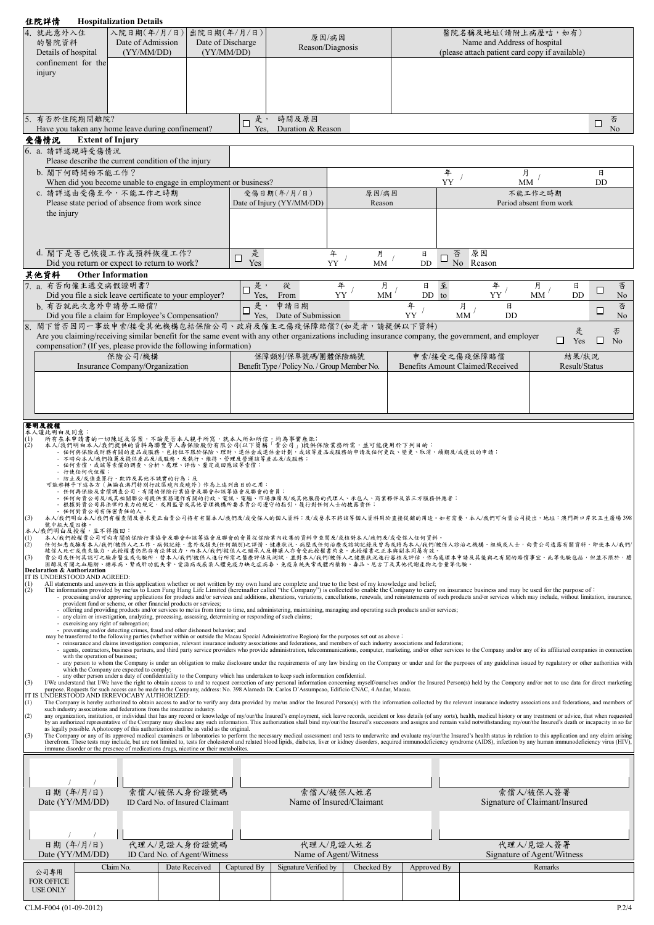| <b>Hospitalization Details</b><br>住院詳情                                                                                                                                                                                                                                                                                                                                                                                                                                  |             |                                              |                          |             |                                  |                                                |                               |                               |
|-------------------------------------------------------------------------------------------------------------------------------------------------------------------------------------------------------------------------------------------------------------------------------------------------------------------------------------------------------------------------------------------------------------------------------------------------------------------------|-------------|----------------------------------------------|--------------------------|-------------|----------------------------------|------------------------------------------------|-------------------------------|-------------------------------|
| 4. 就此意外入住<br>入院日期(年/月/日)<br>出院日期(年/月/日)                                                                                                                                                                                                                                                                                                                                                                                                                                 |             | 原因/病因                                        |                          |             |                                  | 醫院名稱及地址(請附上病歷咭,如有)                             |                               |                               |
| 的醫院資料<br>Date of Admission<br>Date of Discharge                                                                                                                                                                                                                                                                                                                                                                                                                         |             | Reason/Diagnosis                             |                          |             |                                  | Name and Address of hospital                   |                               |                               |
| Details of hospital<br>(YY/MM/DD)<br>(YY/MM/DD)                                                                                                                                                                                                                                                                                                                                                                                                                         |             |                                              |                          |             |                                  | (please attach patient card copy if available) |                               |                               |
| confinement for the                                                                                                                                                                                                                                                                                                                                                                                                                                                     |             |                                              |                          |             |                                  |                                                |                               |                               |
| injury                                                                                                                                                                                                                                                                                                                                                                                                                                                                  |             |                                              |                          |             |                                  |                                                |                               |                               |
|                                                                                                                                                                                                                                                                                                                                                                                                                                                                         |             |                                              |                          |             |                                  |                                                |                               |                               |
|                                                                                                                                                                                                                                                                                                                                                                                                                                                                         |             |                                              |                          |             |                                  |                                                |                               |                               |
|                                                                                                                                                                                                                                                                                                                                                                                                                                                                         |             |                                              |                          |             |                                  |                                                |                               |                               |
| 有否於住院期間離院?                                                                                                                                                                                                                                                                                                                                                                                                                                                              | 是,<br>□     | 時間及原因                                        |                          |             |                                  |                                                |                               | 否<br>□                        |
| Have you taken any home leave during confinement?                                                                                                                                                                                                                                                                                                                                                                                                                       | Yes.        | Duration & Reason                            |                          |             |                                  |                                                |                               | No                            |
| 受傷情況<br><b>Extent of Injury</b>                                                                                                                                                                                                                                                                                                                                                                                                                                         |             |                                              |                          |             |                                  |                                                |                               |                               |
| 6. a. 請詳述現時受傷情況                                                                                                                                                                                                                                                                                                                                                                                                                                                         |             |                                              |                          |             |                                  |                                                |                               |                               |
| Please describe the current condition of the injury                                                                                                                                                                                                                                                                                                                                                                                                                     |             |                                              |                          |             |                                  |                                                |                               |                               |
| b. 閣下何時開始不能工作?                                                                                                                                                                                                                                                                                                                                                                                                                                                          |             |                                              |                          |             | 年<br>YY                          |                                                | 月                             | 日<br><b>DD</b>                |
| When did you become unable to engage in employment or business?<br>c. 請詳述由受傷至今,不能工作之時期                                                                                                                                                                                                                                                                                                                                                                                  |             | 受傷日期(年/月/日)                                  |                          |             |                                  |                                                | MM<br>不能工作之時期                 |                               |
| Please state period of absence from work since                                                                                                                                                                                                                                                                                                                                                                                                                          |             | Date of Injury (YY/MM/DD)                    | 原因/病因<br>Reason          |             |                                  |                                                | Period absent from work       |                               |
| the injury                                                                                                                                                                                                                                                                                                                                                                                                                                                              |             |                                              |                          |             |                                  |                                                |                               |                               |
|                                                                                                                                                                                                                                                                                                                                                                                                                                                                         |             |                                              |                          |             |                                  |                                                |                               |                               |
|                                                                                                                                                                                                                                                                                                                                                                                                                                                                         |             |                                              |                          |             |                                  |                                                |                               |                               |
|                                                                                                                                                                                                                                                                                                                                                                                                                                                                         |             |                                              |                          |             |                                  |                                                |                               |                               |
| d. 閣下是否已恢復工作或預料恢復工作?                                                                                                                                                                                                                                                                                                                                                                                                                                                    | 是<br>$\Box$ |                                              | 年<br>月                   | 日           | 否<br>□                           | 原因                                             |                               |                               |
| Did you return or expect to return to work?                                                                                                                                                                                                                                                                                                                                                                                                                             | Yes         |                                              | YY<br><b>MM</b>          | DD          | No Reason                        |                                                |                               |                               |
| 其他資料<br><b>Other Information</b>                                                                                                                                                                                                                                                                                                                                                                                                                                        |             |                                              |                          |             |                                  |                                                |                               |                               |
| 7. a. 有否向僱主遞交病假證明書?                                                                                                                                                                                                                                                                                                                                                                                                                                                     | 是,<br>□     | 從                                            | 年<br>月                   | 日           | 至                                | 年                                              | 月                             | 否<br>日<br>$\Box$              |
| Did you file a sick leave certificate to your employer?                                                                                                                                                                                                                                                                                                                                                                                                                 | Yes,        | From                                         | YY<br><b>MM</b>          | DD to       |                                  | YY                                             | <b>MM</b>                     | DD<br>No                      |
| b. 有否就此次意外申請勞工賠償?                                                                                                                                                                                                                                                                                                                                                                                                                                                       | 是,          | 申請日期                                         |                          | 年<br>YY     | 月<br>MM                          | 日<br>DD                                        |                               | 否<br>$\Box$<br>N <sub>o</sub> |
| Did you file a claim for Employee's Compensation?<br>閣下曾否因同一事故申索/接受其他機構包括保險公司、政府及僱主之傷殘保障賠償?(如是者,請提供以下資料)<br>8.                                                                                                                                                                                                                                                                                                                                                          |             | Yes, Date of Submission                      |                          |             |                                  |                                                |                               |                               |
| Are you claiming/receiving similar benefit for the same event with any other organizations including insurance company, the government, and employer                                                                                                                                                                                                                                                                                                                    |             |                                              |                          |             |                                  |                                                |                               | 否<br>是                        |
| compensation? (If yes, please provide the following information)                                                                                                                                                                                                                                                                                                                                                                                                        |             |                                              |                          |             |                                  |                                                | ◻                             | Yes<br>$\Box$ No              |
| 保險公司/機構                                                                                                                                                                                                                                                                                                                                                                                                                                                                 |             | 保障類別/保單號碼/團體保險編號                             |                          |             | 申索/接受之傷殘保障賠償                     |                                                |                               | 結果/狀況                         |
| Insurance Company/Organization                                                                                                                                                                                                                                                                                                                                                                                                                                          |             | Benefit Type / Policy No. / Group Member No. |                          |             | Benefits Amount Claimed/Received |                                                |                               | Result/Status                 |
|                                                                                                                                                                                                                                                                                                                                                                                                                                                                         |             |                                              |                          |             |                                  |                                                |                               |                               |
|                                                                                                                                                                                                                                                                                                                                                                                                                                                                         |             |                                              |                          |             |                                  |                                                |                               |                               |
|                                                                                                                                                                                                                                                                                                                                                                                                                                                                         |             |                                              |                          |             |                                  |                                                |                               |                               |
|                                                                                                                                                                                                                                                                                                                                                                                                                                                                         |             |                                              |                          |             |                                  |                                                |                               |                               |
| 聲明及授權                                                                                                                                                                                                                                                                                                                                                                                                                                                                   |             |                                              |                          |             |                                  |                                                |                               |                               |
| 本<br>人謹此明白及同意<br>申請書的一切陳述及答案,不論是否本人親手所寫,就本人所知所信,均為事實無訛;                                                                                                                                                                                                                                                                                                                                                                                                                 |             |                                              |                          |             |                                  |                                                |                               |                               |
|                                                                                                                                                                                                                                                                                                                                                                                                                                                                         |             |                                              |                          |             |                                  |                                                |                               |                               |
| 明白本人/我們提供的資料為聯豐亨人壽保險股份有限公司(以下簡稱「貴公司」)提供保險業務所需,並可能使用於下列目的:<br>(2)                                                                                                                                                                                                                                                                                                                                                                                                        |             |                                              |                          |             |                                  |                                                |                               |                               |
| 保險或財務有關的產品或服務,包括但不限於保險、理財、退休金或退休金計劃,或該等產品或服務的申請及任何更改、變更、取消、續期及/或復效的申請;<br>時向本人/我們推薦及提供產品及/或服務,及執行、維持、管理及營運該等產品及/或服務                                                                                                                                                                                                                                                                                                                                                     |             |                                              |                          |             |                                  |                                                |                               |                               |
| 索僧,或該等索僧的調查、分析、處理、評估、釐定或回應該等索僧                                                                                                                                                                                                                                                                                                                                                                                                                                          |             |                                              |                          |             |                                  |                                                |                               |                               |
| 任何代位權;<br>或偵查罪行、欺詐及其他不誠實的行為;及                                                                                                                                                                                                                                                                                                                                                                                                                                           |             |                                              |                          |             |                                  |                                                |                               |                               |
| 各方(無論在澳門特別行政區境內或境外)作為上述列出目的之用<br>保險及索償調查公司、有關的保險行業協會及聯會                                                                                                                                                                                                                                                                                                                                                                                                                 |             |                                              |                          |             |                                  |                                                |                               |                               |
| 任何向昔公司及/或其相關聯公司提供業務運作有關的行政、電訊、電腦、市場推廣及/或其他服務的代理人、承包人、商業夥伴及第三方服務供應者;<br>根據對貴公司具法律約束力的規定,或因監管或其他管理機構所要求貴公司遵守的指引,履行對任何人士的披露責任;                                                                                                                                                                                                                                                                                                                                             |             |                                              |                          |             |                                  |                                                |                               |                               |
| 仕何對頁公司有秌密頁仕的人。                                                                                                                                                                                                                                                                                                                                                                                                                                                          |             |                                              |                          |             |                                  |                                                |                               |                               |
| 本人/我們明白本人/我們有權查閱及要求更正由貴公司持有有關本人/我們及/或受保人的個人資料;及/或要求不將該等個人資料用於直接促銷的用途。如有需要,本人/我們可向貴公司提出,地址:澳門新口岸宋玉生廣場 398<br>(3)<br>號中航大廈四樓。                                                                                                                                                                                                                                                                                                                                             |             |                                              |                          |             |                                  |                                                |                               |                               |
| 我們明白及授權,且不得撤回:<br>本人/我們授權貴公司可向有關的保險行業協會及聯會和該等協會及聯會的會員從保險業內收集的資料中查聞及/或核對本人/我們及/或受保人任何資料。                                                                                                                                                                                                                                                                                                                                                                                 |             |                                              |                          |             |                                  |                                                |                               |                               |
| 任何知悉或擁有本人/我們/被保人之工作、病假記錄、意外或損失(任何類別)之詳情、健康狀況、病歷或任何治療或諮詢記錄及曾為或將為本人/我們/被保人診治之機構、組織或人士,向貴公司透露有關資料。即使本人/我們<br>(2)                                                                                                                                                                                                                                                                                                                                                           |             |                                              |                          |             |                                  |                                                |                               |                               |
| 被保人死亡或喪失能力,此授權書仍然存有法律效力,而本人/我們/被保人之繼承人及轉讓人亦會受此授權書約束。此授權書之正本與副本同屬有效。<br>(3)<br>貴公司或任何其認可之驗身醫生或化驗所,替本人/我們/被保人進行所需之醫療評估及測試,並對本人/我們/被保人之健康狀況進行審核及評估,作為處理本申請及其後與之有關的賠償事宜。此等化驗包括,但並不限於,贈                                                                                                                                                                                                                                                                                      |             |                                              |                          |             |                                  |                                                |                               |                               |
| 固醇及有關之血脂肪、糖尿病、腎或肝功能失常、愛滋病或感染人體免疫力缺乏症病毒、免疫系統失常或體內藥物、毒品、尼古丁及其他代謝產物之含量等化驗。<br>Declaration & Authorization                                                                                                                                                                                                                                                                                                                                                                  |             |                                              |                          |             |                                  |                                                |                               |                               |
| IT IS UNDERSTOOD AND AGREED:<br>All statements and answers in this application whether or not written by my own hand are complete and true to the best of my knowledge and belief;<br>(1)                                                                                                                                                                                                                                                                               |             |                                              |                          |             |                                  |                                                |                               |                               |
| (2)<br>The information provided by me/us to Luen Fung Hang Life Limited (hereinafter called "the Company") is collected to enable the Company to carry on insurance business and may be used for the purpose of :                                                                                                                                                                                                                                                       |             |                                              |                          |             |                                  |                                                |                               |                               |
| processing and/or approving applications for products and/or services and additions, alterations, variations, cancellations, renewals, and reinstatements of such products and/or services which may include, without limitati<br>provident fund or scheme, or other financial products or services;                                                                                                                                                                    |             |                                              |                          |             |                                  |                                                |                               |                               |
| offering and providing products and/or services to me/us from time to time, and administering, maintaining, managing and operating such products and/or services;<br>- any claim or investigation, analyzing, processing, assessing, determining or responding of such claims;                                                                                                                                                                                          |             |                                              |                          |             |                                  |                                                |                               |                               |
| - exercising any right of subrogation;                                                                                                                                                                                                                                                                                                                                                                                                                                  |             |                                              |                          |             |                                  |                                                |                               |                               |
| preventing and/or detecting crimes, fraud and other dishonest behavior; and<br>may be transferred to the following parties (whether within or outside the Macau Special Administrative Region) for the purposes set out as above :                                                                                                                                                                                                                                      |             |                                              |                          |             |                                  |                                                |                               |                               |
| - reinsurance and claims investigation companies, relevant insurance industry associations and federations, and members of such industry associations and federations;<br>agents, contractors, business partners, and third party service providers who provide administration, telecommunications, computer, marketing, and/or other services to the Company and/or any of its affiliated companies in                                                                 |             |                                              |                          |             |                                  |                                                |                               |                               |
| with the operation of business;<br>- any person to whom the Company is under an obligation to make disclosure under the requirements of any law binding on the Company or under and for the purposes of any guidelines issued by regulatory or other authorities                                                                                                                                                                                                        |             |                                              |                          |             |                                  |                                                |                               |                               |
| which the Company are expected to comply;                                                                                                                                                                                                                                                                                                                                                                                                                               |             |                                              |                          |             |                                  |                                                |                               |                               |
| - any other person under a duty of confidentiality to the Company which has undertaken to keep such information confidential.<br>(3)<br>I/We understand that I/We have the right to obtain access to and to request correction of any personal information concerning myself/ourselves and/or the Insured Person(s) held by the Company and/or not to use data for dir                                                                                                  |             |                                              |                          |             |                                  |                                                |                               |                               |
| purpose. Requests for such access can be made to the Company, address: No. 398 Alameda Dr. Carlos D'Assumpcao, Edificio CNAC, 4 Andar, Macau.<br>IT IS UNDERSTOOD AND IRREVOCABY AUTHORIZED:                                                                                                                                                                                                                                                                            |             |                                              |                          |             |                                  |                                                |                               |                               |
| The Company is hereby authorized to obtain access to and/or to verify any data provided by me/us and/or the Insured Person(s) with the information collected by the relevant insurance industry associations and federations,<br>(1)                                                                                                                                                                                                                                    |             |                                              |                          |             |                                  |                                                |                               |                               |
| such industry associations and federations from the insurance industry.<br>(2)<br>any organization, institution, or individual that has any record or knowledge of my/our/the Insured's employment, sick leave records, accident or loss details (of any sorts), health, medical history or any treatment or adv                                                                                                                                                        |             |                                              |                          |             |                                  |                                                |                               |                               |
| by an authorized representative of the Company may disclose any such information. This authorization shall bind my/our/the Insured's successors and assigns and remain valid notwithstanding my/our/the Insured's death or inc<br>as legally possible. A photocopy of this authorization shall be as valid as the original.                                                                                                                                             |             |                                              |                          |             |                                  |                                                |                               |                               |
| (3)<br>The Company or any of its approved medical examiners or laboratories to perform the necessary medical assessment and tests to underwrite and evaluate my/our/the Insured's health status in relation to this application and a<br>therefrom. These tests may include, but are not limited to, tests for cholesterol and related blood lipids, diabetes, liver or kidney disorders, acquired immunodeficiency syndrome (AIDS), infection by any human immunodefic |             |                                              |                          |             |                                  |                                                |                               |                               |
| immune disorder or the presence of medications drugs, nicotine or their metabolites.                                                                                                                                                                                                                                                                                                                                                                                    |             |                                              |                          |             |                                  |                                                |                               |                               |
|                                                                                                                                                                                                                                                                                                                                                                                                                                                                         |             |                                              |                          |             |                                  |                                                |                               |                               |
|                                                                                                                                                                                                                                                                                                                                                                                                                                                                         |             |                                              |                          |             |                                  |                                                |                               |                               |
|                                                                                                                                                                                                                                                                                                                                                                                                                                                                         |             |                                              |                          |             |                                  |                                                |                               |                               |
| 日期 (年/月/日)<br>索償人/被保人身份證號碼                                                                                                                                                                                                                                                                                                                                                                                                                                              |             |                                              | 索償人/被保人姓名                |             |                                  |                                                | 索償人/被保人簽署                     |                               |
| Date (YY/MM/DD)<br>ID Card No. of Insured Claimant                                                                                                                                                                                                                                                                                                                                                                                                                      |             |                                              | Name of Insured/Claimant |             |                                  |                                                | Signature of Claimant/Insured |                               |
|                                                                                                                                                                                                                                                                                                                                                                                                                                                                         |             |                                              |                          |             |                                  |                                                |                               |                               |
|                                                                                                                                                                                                                                                                                                                                                                                                                                                                         |             |                                              |                          |             |                                  |                                                |                               |                               |
| 日期 (年/月/日)<br>代理人/見證人身份證號碼                                                                                                                                                                                                                                                                                                                                                                                                                                              |             |                                              | 代理人/見證人姓名                |             |                                  |                                                | 代理人/見證人簽署                     |                               |
| Date (YY/MM/DD)<br>ID Card No. of Agent/Witness                                                                                                                                                                                                                                                                                                                                                                                                                         |             |                                              | Name of Agent/Witness    |             |                                  |                                                | Signature of Agent/Witness    |                               |
| Date Received<br>Claim No.                                                                                                                                                                                                                                                                                                                                                                                                                                              | Captured By | Signature Verified by                        | Checked By               | Approved By |                                  |                                                | Remarks                       |                               |
| 公司專用<br><b>FOR OFFICE</b>                                                                                                                                                                                                                                                                                                                                                                                                                                               |             |                                              |                          |             |                                  |                                                |                               |                               |
| <b>USE ONLY</b>                                                                                                                                                                                                                                                                                                                                                                                                                                                         |             |                                              |                          |             |                                  |                                                |                               |                               |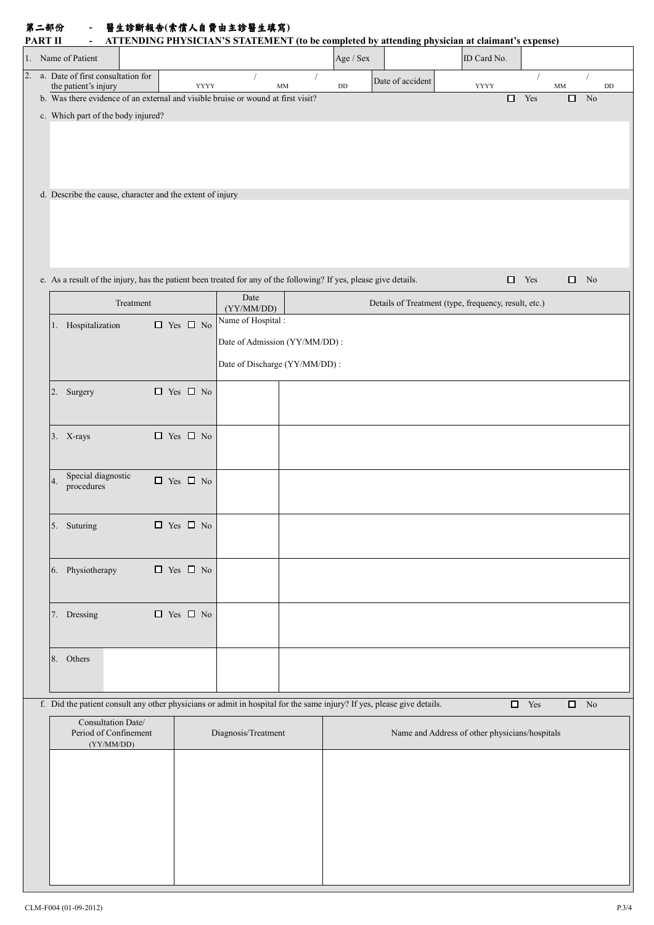| 第二部份    | 醫生診斷報告(索償人自費由主診醫生填寫) |
|---------|----------------------|
| _______ |                      |

| <b>PART II</b> | $\blacksquare$                                                                                                         |           |                      |      |                               |             |           | ATTENDING PHYSICIAN'S STATEMENT (to be completed by attending physician at claimant's expense) |             |                         |               |                    |                        |
|----------------|------------------------------------------------------------------------------------------------------------------------|-----------|----------------------|------|-------------------------------|-------------|-----------|------------------------------------------------------------------------------------------------|-------------|-------------------------|---------------|--------------------|------------------------|
|                | 1. Name of Patient                                                                                                     |           |                      |      |                               |             | Age / Sex |                                                                                                | ID Card No. |                         |               |                    |                        |
| 2.             | a. Date of first consultation for<br>the patient's injury                                                              |           |                      | YYYY |                               | $\text{MM}$ | $\rm DD$  | Date of accident                                                                               | YYYY        |                         | $\text{MM}{}$ |                    | $\mathbf{D}\mathbf{D}$ |
|                | b. Was there evidence of an external and visible bruise or wound at first visit?                                       |           |                      |      |                               |             |           |                                                                                                |             | $\hfill \square$ Yes    | $\Box$        | N <sub>o</sub>     |                        |
|                | c. Which part of the body injured?                                                                                     |           |                      |      |                               |             |           |                                                                                                |             |                         |               |                    |                        |
|                |                                                                                                                        |           |                      |      |                               |             |           |                                                                                                |             |                         |               |                    |                        |
|                |                                                                                                                        |           |                      |      |                               |             |           |                                                                                                |             |                         |               |                    |                        |
|                |                                                                                                                        |           |                      |      |                               |             |           |                                                                                                |             |                         |               |                    |                        |
|                | d. Describe the cause, character and the extent of injury                                                              |           |                      |      |                               |             |           |                                                                                                |             |                         |               |                    |                        |
|                |                                                                                                                        |           |                      |      |                               |             |           |                                                                                                |             |                         |               |                    |                        |
|                |                                                                                                                        |           |                      |      |                               |             |           |                                                                                                |             |                         |               |                    |                        |
|                |                                                                                                                        |           |                      |      |                               |             |           |                                                                                                |             |                         |               |                    |                        |
|                |                                                                                                                        |           |                      |      |                               |             |           |                                                                                                |             |                         |               |                    |                        |
|                | e. As a result of the injury, has the patient been treated for any of the following? If yes, please give details.      |           |                      |      |                               |             |           |                                                                                                |             | $\Box$ Yes              |               | $\Box$ No          |                        |
|                |                                                                                                                        | Treatment |                      |      | Date<br>(YY/MM/DD)            |             |           | Details of Treatment (type, frequency, result, etc.)                                           |             |                         |               |                    |                        |
|                | 1. Hospitalization                                                                                                     |           | $\Box$ Yes $\Box$ No |      | Name of Hospital:             |             |           |                                                                                                |             |                         |               |                    |                        |
|                |                                                                                                                        |           |                      |      | Date of Admission (YY/MM/DD): |             |           |                                                                                                |             |                         |               |                    |                        |
|                |                                                                                                                        |           |                      |      | Date of Discharge (YY/MM/DD): |             |           |                                                                                                |             |                         |               |                    |                        |
|                |                                                                                                                        |           |                      |      |                               |             |           |                                                                                                |             |                         |               |                    |                        |
|                | 2. Surgery                                                                                                             |           | $\Box$ Yes $\Box$ No |      |                               |             |           |                                                                                                |             |                         |               |                    |                        |
|                |                                                                                                                        |           |                      |      |                               |             |           |                                                                                                |             |                         |               |                    |                        |
|                | 3. X-rays                                                                                                              |           | $\Box$ Yes $\Box$ No |      |                               |             |           |                                                                                                |             |                         |               |                    |                        |
|                |                                                                                                                        |           |                      |      |                               |             |           |                                                                                                |             |                         |               |                    |                        |
|                | Special diagnostic                                                                                                     |           |                      |      |                               |             |           |                                                                                                |             |                         |               |                    |                        |
|                | 4.<br>procedures                                                                                                       |           | $\Box$ Yes $\Box$ No |      |                               |             |           |                                                                                                |             |                         |               |                    |                        |
|                |                                                                                                                        |           |                      |      |                               |             |           |                                                                                                |             |                         |               |                    |                        |
|                | 5. Suturing                                                                                                            |           | $\Box$ Yes $\Box$ No |      |                               |             |           |                                                                                                |             |                         |               |                    |                        |
|                |                                                                                                                        |           |                      |      |                               |             |           |                                                                                                |             |                         |               |                    |                        |
|                | 6. Physiotherapy                                                                                                       |           | $\Box$ Yes $\Box$ No |      |                               |             |           |                                                                                                |             |                         |               |                    |                        |
|                |                                                                                                                        |           |                      |      |                               |             |           |                                                                                                |             |                         |               |                    |                        |
|                |                                                                                                                        |           |                      |      |                               |             |           |                                                                                                |             |                         |               |                    |                        |
|                | 7. Dressing                                                                                                            |           | $\Box$ Yes $\Box$ No |      |                               |             |           |                                                                                                |             |                         |               |                    |                        |
|                |                                                                                                                        |           |                      |      |                               |             |           |                                                                                                |             |                         |               |                    |                        |
|                | 8. Others                                                                                                              |           |                      |      |                               |             |           |                                                                                                |             |                         |               |                    |                        |
|                |                                                                                                                        |           |                      |      |                               |             |           |                                                                                                |             |                         |               |                    |                        |
|                | f. Did the patient consult any other physicians or admit in hospital for the same injury? If yes, please give details. |           |                      |      |                               |             |           |                                                                                                |             | $\hfill \square$<br>Yes |               | $\qquad \qquad$ No |                        |
|                | Consultation Date/                                                                                                     |           |                      |      |                               |             |           |                                                                                                |             |                         |               |                    |                        |
|                | Period of Confinement<br>(YY/MM/DD)                                                                                    |           |                      |      | Diagnosis/Treatment           |             |           | Name and Address of other physicians/hospitals                                                 |             |                         |               |                    |                        |
|                |                                                                                                                        |           |                      |      |                               |             |           |                                                                                                |             |                         |               |                    |                        |
|                |                                                                                                                        |           |                      |      |                               |             |           |                                                                                                |             |                         |               |                    |                        |
|                |                                                                                                                        |           |                      |      |                               |             |           |                                                                                                |             |                         |               |                    |                        |
|                |                                                                                                                        |           |                      |      |                               |             |           |                                                                                                |             |                         |               |                    |                        |
|                |                                                                                                                        |           |                      |      |                               |             |           |                                                                                                |             |                         |               |                    |                        |
|                |                                                                                                                        |           |                      |      |                               |             |           |                                                                                                |             |                         |               |                    |                        |
|                |                                                                                                                        |           |                      |      |                               |             |           |                                                                                                |             |                         |               |                    |                        |
|                |                                                                                                                        |           |                      |      |                               |             |           |                                                                                                |             |                         |               |                    |                        |

f